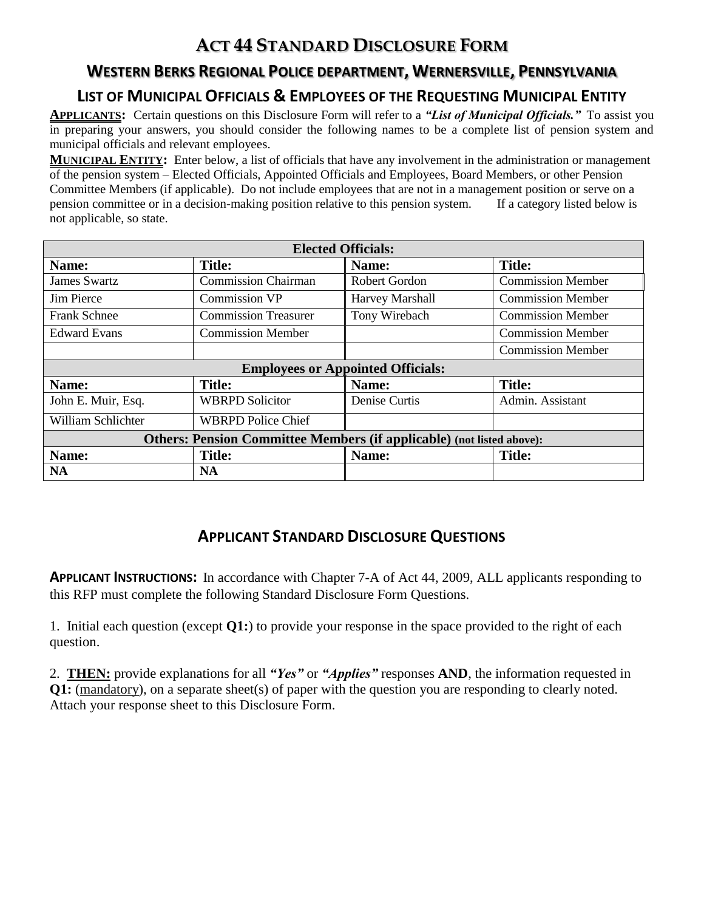# **ACT 44 STANDARD DISCLOSURE FORM**

## **WESTERN BERKS REGIONAL POLICE DEPARTMENT, WERNERSVILLE, PENNSYLVANIA**

## **LIST OF MUNICIPAL OFFICIALS & EMPLOYEES OF THE REQUESTING MUNICIPAL ENTITY**

**APPLICANTS:** Certain questions on this Disclosure Form will refer to a *"List of Municipal Officials."* To assist you in preparing your answers, you should consider the following names to be a complete list of pension system and municipal officials and relevant employees.

**MUNICIPAL ENTITY:** Enter below, a list of officials that have any involvement in the administration or management of the pension system – Elected Officials, Appointed Officials and Employees, Board Members, or other Pension Committee Members (if applicable). Do not include employees that are not in a management position or serve on a pension committee or in a decision-making position relative to this pension system. If a category listed below is not applicable, so state.

| <b>Elected Officials:</b>                                                    |                             |                 |                          |
|------------------------------------------------------------------------------|-----------------------------|-----------------|--------------------------|
| Name:                                                                        | <b>Title:</b>               | Name:           | <b>Title:</b>            |
| <b>James Swartz</b>                                                          | <b>Commission Chairman</b>  | Robert Gordon   | <b>Commission Member</b> |
| Jim Pierce                                                                   | <b>Commission VP</b>        | Harvey Marshall | <b>Commission Member</b> |
| <b>Frank Schnee</b>                                                          | <b>Commission Treasurer</b> | Tony Wirebach   | <b>Commission Member</b> |
| <b>Edward Evans</b>                                                          | <b>Commission Member</b>    |                 | <b>Commission Member</b> |
|                                                                              |                             |                 | <b>Commission Member</b> |
| <b>Employees or Appointed Officials:</b>                                     |                             |                 |                          |
| Name:                                                                        | <b>Title:</b>               | Name:           | <b>Title:</b>            |
| John E. Muir, Esq.                                                           | <b>WBRPD Solicitor</b>      | Denise Curtis   | Admin. Assistant         |
| William Schlichter                                                           | <b>WBRPD Police Chief</b>   |                 |                          |
| <b>Others: Pension Committee Members (if applicable)</b> (not listed above): |                             |                 |                          |
| Name:                                                                        | <b>Title:</b>               | Name:           | <b>Title:</b>            |
| <b>NA</b>                                                                    | <b>NA</b>                   |                 |                          |

## **APPLICANT STANDARD DISCLOSURE QUESTIONS**

**APPLICANT INSTRUCTIONS:** In accordance with Chapter 7-A of Act 44, 2009, ALL applicants responding to this RFP must complete the following Standard Disclosure Form Questions.

1. Initial each question (except **Q1:**) to provide your response in the space provided to the right of each question.

2. **THEN:** provide explanations for all *"Yes"* or *"Applies"* responses **AND**, the information requested in **Q1:** (mandatory), on a separate sheet(s) of paper with the question you are responding to clearly noted. Attach your response sheet to this Disclosure Form.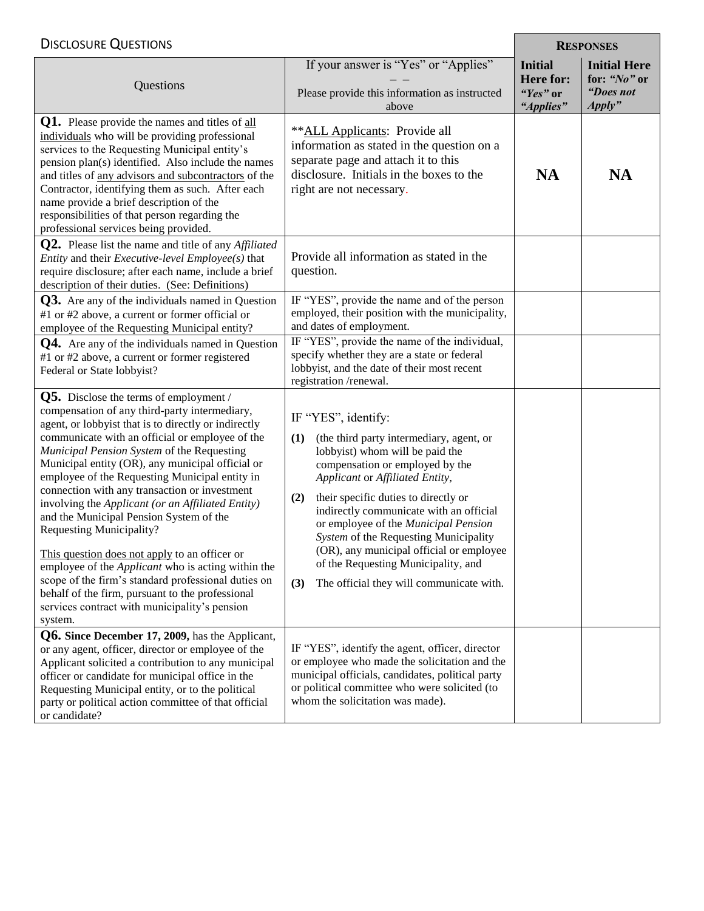#### DISCLOSURE QUESTIONS **RESPONSES**

| <b>DISCLUSURE QUESTIONS</b>                                                                                                                                                                                                                                                                                                                                                                                                                                                                                                                                                                                                                                                                                                                                                                                                       |                                                                                                                                                                                                                                                                                                                                                                                                                                                                                                  |                                                             | RESPUNSES                                                  |  |
|-----------------------------------------------------------------------------------------------------------------------------------------------------------------------------------------------------------------------------------------------------------------------------------------------------------------------------------------------------------------------------------------------------------------------------------------------------------------------------------------------------------------------------------------------------------------------------------------------------------------------------------------------------------------------------------------------------------------------------------------------------------------------------------------------------------------------------------|--------------------------------------------------------------------------------------------------------------------------------------------------------------------------------------------------------------------------------------------------------------------------------------------------------------------------------------------------------------------------------------------------------------------------------------------------------------------------------------------------|-------------------------------------------------------------|------------------------------------------------------------|--|
| Questions                                                                                                                                                                                                                                                                                                                                                                                                                                                                                                                                                                                                                                                                                                                                                                                                                         | If your answer is "Yes" or "Applies"<br>Please provide this information as instructed<br>above                                                                                                                                                                                                                                                                                                                                                                                                   | <b>Initial</b><br><b>Here for:</b><br>"Yes" or<br>"Applies" | <b>Initial Here</b><br>for: "No" or<br>"Does not<br>Apply" |  |
| <b>Q1.</b> Please provide the names and titles of all<br>individuals who will be providing professional<br>services to the Requesting Municipal entity's<br>pension plan(s) identified. Also include the names<br>and titles of any advisors and subcontractors of the<br>Contractor, identifying them as such. After each<br>name provide a brief description of the<br>responsibilities of that person regarding the<br>professional services being provided.                                                                                                                                                                                                                                                                                                                                                                   | **ALL Applicants: Provide all<br>information as stated in the question on a<br>separate page and attach it to this<br>disclosure. Initials in the boxes to the<br>right are not necessary.                                                                                                                                                                                                                                                                                                       | <b>NA</b>                                                   | <b>NA</b>                                                  |  |
| $Q2.$ Please list the name and title of any <i>Affiliated</i><br><i>Entity</i> and their <i>Executive-level Employee(s)</i> that<br>require disclosure; after each name, include a brief<br>description of their duties. (See: Definitions)                                                                                                                                                                                                                                                                                                                                                                                                                                                                                                                                                                                       | Provide all information as stated in the<br>question.                                                                                                                                                                                                                                                                                                                                                                                                                                            |                                                             |                                                            |  |
| <b>Q3.</b> Are any of the individuals named in Question<br>#1 or #2 above, a current or former official or<br>employee of the Requesting Municipal entity?                                                                                                                                                                                                                                                                                                                                                                                                                                                                                                                                                                                                                                                                        | IF "YES", provide the name and of the person<br>employed, their position with the municipality,<br>and dates of employment.                                                                                                                                                                                                                                                                                                                                                                      |                                                             |                                                            |  |
| <b>Q4.</b> Are any of the individuals named in Question<br>#1 or #2 above, a current or former registered<br>Federal or State lobbyist?                                                                                                                                                                                                                                                                                                                                                                                                                                                                                                                                                                                                                                                                                           | IF "YES", provide the name of the individual,<br>specify whether they are a state or federal<br>lobbyist, and the date of their most recent<br>registration/renewal.                                                                                                                                                                                                                                                                                                                             |                                                             |                                                            |  |
| $Q5.$ Disclose the terms of employment /<br>compensation of any third-party intermediary,<br>agent, or lobbyist that is to directly or indirectly<br>communicate with an official or employee of the<br>Municipal Pension System of the Requesting<br>Municipal entity (OR), any municipal official or<br>employee of the Requesting Municipal entity in<br>connection with any transaction or investment<br>involving the Applicant (or an Affiliated Entity)<br>and the Municipal Pension System of the<br><b>Requesting Municipality?</b><br>This question does not apply to an officer or<br>employee of the <i>Applicant</i> who is acting within the<br>scope of the firm's standard professional duties on<br>behalf of the firm, pursuant to the professional<br>services contract with municipality's pension<br>system. | IF "YES", identify:<br>(the third party intermediary, agent, or<br>(1)<br>lobbyist) whom will be paid the<br>compensation or employed by the<br>Applicant or Affiliated Entity,<br>their specific duties to directly or<br>(2)<br>indirectly communicate with an official<br>or employee of the Municipal Pension<br>System of the Requesting Municipality<br>(OR), any municipal official or employee<br>of the Requesting Municipality, and<br>(3)<br>The official they will communicate with. |                                                             |                                                            |  |
| Q6. Since December 17, 2009, has the Applicant,<br>or any agent, officer, director or employee of the<br>Applicant solicited a contribution to any municipal<br>officer or candidate for municipal office in the<br>Requesting Municipal entity, or to the political<br>party or political action committee of that official<br>or candidate?                                                                                                                                                                                                                                                                                                                                                                                                                                                                                     | IF "YES", identify the agent, officer, director<br>or employee who made the solicitation and the<br>municipal officials, candidates, political party<br>or political committee who were solicited (to<br>whom the solicitation was made).                                                                                                                                                                                                                                                        |                                                             |                                                            |  |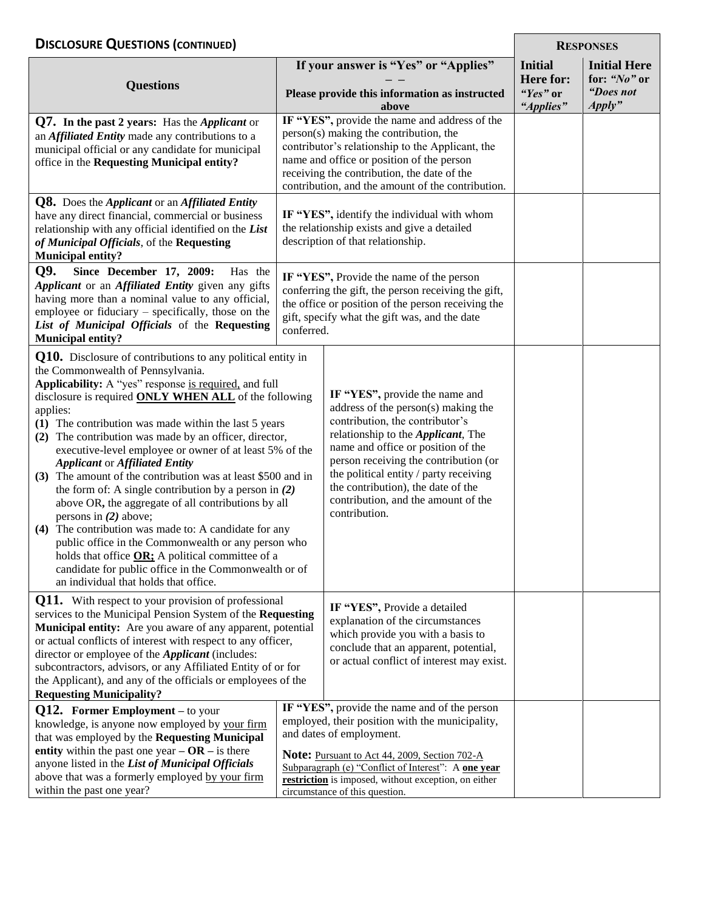## **D ISCLOSURE QUESTIONS** (CONTINUED)

| DISCLUSURE QUESTIUNS (CONTINUED)                                                                                                                                                                                                                                                                                                                                                                                                                                                                                                                                                                                                                                                                                                                                                                                                                                                                                                                       |  |                                                                                                                                                                                                                                                                                                                                                                               | <b>KESPONSES</b>                                     |                                                            |
|--------------------------------------------------------------------------------------------------------------------------------------------------------------------------------------------------------------------------------------------------------------------------------------------------------------------------------------------------------------------------------------------------------------------------------------------------------------------------------------------------------------------------------------------------------------------------------------------------------------------------------------------------------------------------------------------------------------------------------------------------------------------------------------------------------------------------------------------------------------------------------------------------------------------------------------------------------|--|-------------------------------------------------------------------------------------------------------------------------------------------------------------------------------------------------------------------------------------------------------------------------------------------------------------------------------------------------------------------------------|------------------------------------------------------|------------------------------------------------------------|
| <b>Questions</b>                                                                                                                                                                                                                                                                                                                                                                                                                                                                                                                                                                                                                                                                                                                                                                                                                                                                                                                                       |  | If your answer is "Yes" or "Applies"<br>Please provide this information as instructed<br>above                                                                                                                                                                                                                                                                                | <b>Initial</b><br>Here for:<br>"Yes" or<br>"Applies" | <b>Initial Here</b><br>for: "No" or<br>"Does not<br>Apply" |
| <b>Q7.</b> In the past 2 years: Has the <i>Applicant</i> or<br>an <b>Affiliated Entity</b> made any contributions to a<br>municipal official or any candidate for municipal<br>office in the Requesting Municipal entity?                                                                                                                                                                                                                                                                                                                                                                                                                                                                                                                                                                                                                                                                                                                              |  | IF "YES", provide the name and address of the<br>person(s) making the contribution, the<br>contributor's relationship to the Applicant, the<br>name and office or position of the person<br>receiving the contribution, the date of the<br>contribution, and the amount of the contribution.                                                                                  |                                                      |                                                            |
| <b>Q8.</b> Does the <i>Applicant</i> or an <i>Affiliated Entity</i><br>have any direct financial, commercial or business<br>relationship with any official identified on the List<br>of Municipal Officials, of the Requesting<br><b>Municipal entity?</b>                                                                                                                                                                                                                                                                                                                                                                                                                                                                                                                                                                                                                                                                                             |  | IF "YES", identify the individual with whom<br>the relationship exists and give a detailed<br>description of that relationship.                                                                                                                                                                                                                                               |                                                      |                                                            |
| Q9.<br>Since December 17, 2009:<br>Has the<br>Applicant or an Affiliated Entity given any gifts<br>having more than a nominal value to any official,<br>employee or fiduciary – specifically, those on the<br>List of Municipal Officials of the Requesting<br>conferred.<br><b>Municipal entity?</b>                                                                                                                                                                                                                                                                                                                                                                                                                                                                                                                                                                                                                                                  |  | IF "YES", Provide the name of the person<br>conferring the gift, the person receiving the gift,<br>the office or position of the person receiving the<br>gift, specify what the gift was, and the date                                                                                                                                                                        |                                                      |                                                            |
| <b>Q10.</b> Disclosure of contributions to any political entity in<br>the Commonwealth of Pennsylvania.<br>Applicability: A "yes" response is required, and full<br>disclosure is required <b>ONLY WHEN ALL</b> of the following<br>applies:<br>(1) The contribution was made within the last 5 years<br>(2) The contribution was made by an officer, director,<br>executive-level employee or owner of at least 5% of the<br><b>Applicant or Affiliated Entity</b><br>(3) The amount of the contribution was at least \$500 and in<br>the form of: A single contribution by a person in $(2)$<br>above OR, the aggregate of all contributions by all<br>persons in $(2)$ above;<br>(4) The contribution was made to: A candidate for any<br>public office in the Commonwealth or any person who<br>holds that office OR; A political committee of a<br>candidate for public office in the Commonwealth or of<br>an individual that holds that office. |  | IF "YES", provide the name and<br>address of the person(s) making the<br>contribution, the contributor's<br>relationship to the <i>Applicant</i> , The<br>name and office or position of the<br>person receiving the contribution (or<br>the political entity / party receiving<br>the contribution), the date of the<br>contribution, and the amount of the<br>contribution. |                                                      |                                                            |
| Q11. With respect to your provision of professional<br>services to the Municipal Pension System of the Requesting<br>Municipal entity: Are you aware of any apparent, potential<br>or actual conflicts of interest with respect to any officer,<br>director or employee of the <i>Applicant</i> (includes:<br>subcontractors, advisors, or any Affiliated Entity of or for<br>the Applicant), and any of the officials or employees of the<br><b>Requesting Municipality?</b>                                                                                                                                                                                                                                                                                                                                                                                                                                                                          |  | IF "YES", Provide a detailed<br>explanation of the circumstances<br>which provide you with a basis to<br>conclude that an apparent, potential,<br>or actual conflict of interest may exist.                                                                                                                                                                                   |                                                      |                                                            |
| $Q12.$ Former Employment – to your<br>knowledge, is anyone now employed by your firm<br>that was employed by the Requesting Municipal<br>entity within the past one year $-OR$ – is there<br>anyone listed in the List of Municipal Officials<br>above that was a formerly employed by your firm<br>within the past one year?                                                                                                                                                                                                                                                                                                                                                                                                                                                                                                                                                                                                                          |  | IF "YES", provide the name and of the person<br>employed, their position with the municipality,<br>and dates of employment.<br><b>Note:</b> Pursuant to Act 44, 2009, Section 702-A<br>Subparagraph (e) "Conflict of Interest": A one year<br>restriction is imposed, without exception, on either<br>circumstance of this question.                                          |                                                      |                                                            |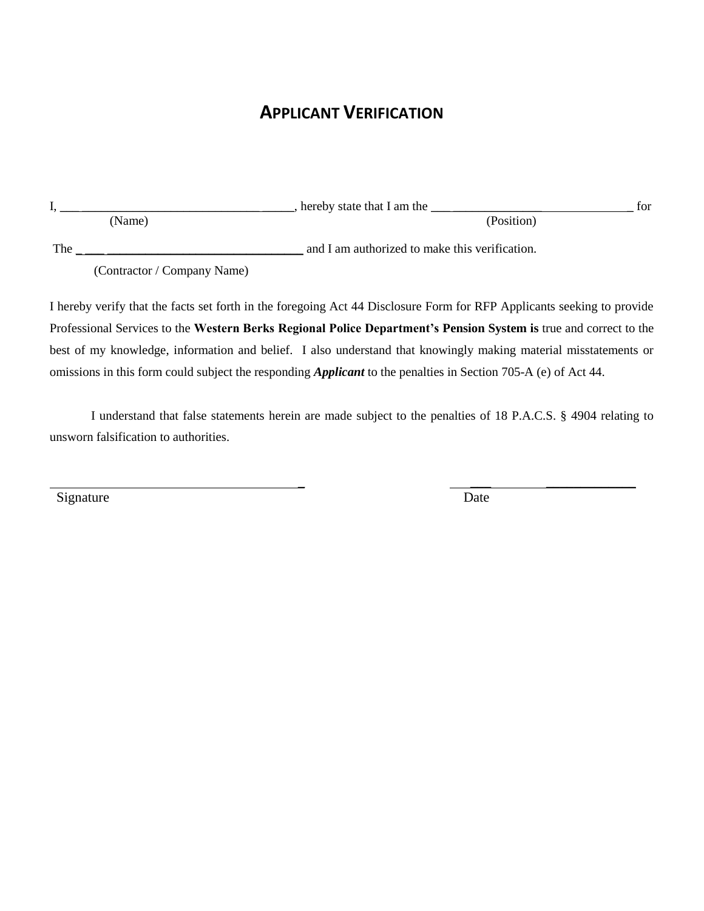## **APPLICANT VERIFICATION**

|     |                             | hereby state that I am the                     | for |
|-----|-----------------------------|------------------------------------------------|-----|
|     | (Name)                      | (Position)                                     |     |
| The |                             | and I am authorized to make this verification. |     |
|     | (Contractor / Company Name) |                                                |     |

I hereby verify that the facts set forth in the foregoing Act 44 Disclosure Form for RFP Applicants seeking to provide Professional Services to the **Western Berks Regional Police Department's Pension System is** true and correct to the best of my knowledge, information and belief. I also understand that knowingly making material misstatements or omissions in this form could subject the responding *Applicant* to the penalties in Section 705-A (e) of Act 44.

I understand that false statements herein are made subject to the penalties of 18 P.A.C.S. § 4904 relating to unsworn falsification to authorities.

Signature Date

\_ \_\_\_ \_\_\_\_\_\_\_\_\_\_\_\_\_